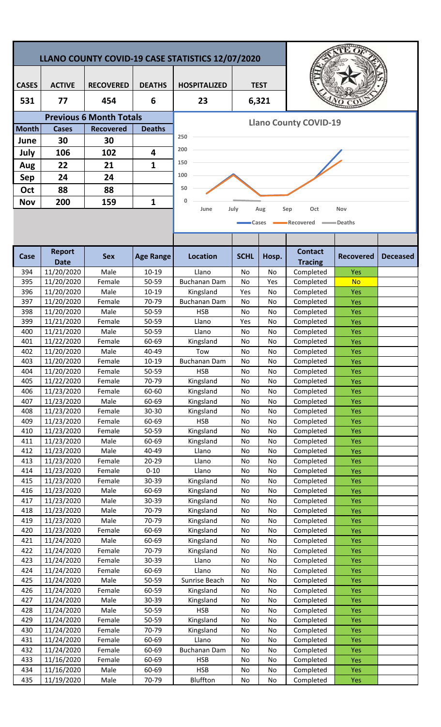| LLANO COUNTY COVID-19 CASE STATISTICS 12/07/2020 |                              |                                |                  |                               |             |             |                                  |                          |                 |  |  |
|--------------------------------------------------|------------------------------|--------------------------------|------------------|-------------------------------|-------------|-------------|----------------------------------|--------------------------|-----------------|--|--|
| <b>CASES</b>                                     | <b>ACTIVE</b>                | <b>RECOVERED</b>               | <b>DEATHS</b>    | <b>HOSPITALIZED</b>           |             | <b>TEST</b> |                                  |                          |                 |  |  |
| 531                                              | 77                           | 454                            | 6                | 23                            |             | 6,321       |                                  |                          |                 |  |  |
|                                                  |                              | <b>Previous 6 Month Totals</b> |                  |                               |             |             |                                  |                          |                 |  |  |
| <b>Month</b>                                     | <b>Cases</b>                 | <b>Recovered</b>               | <b>Deaths</b>    | <b>Llano County COVID-19</b>  |             |             |                                  |                          |                 |  |  |
| June                                             | 30                           | 30                             |                  | 250                           |             |             |                                  |                          |                 |  |  |
| July                                             | 106                          | 102                            | 4                | 200                           |             |             |                                  |                          |                 |  |  |
|                                                  | 22                           | 21                             | 1                | 150                           |             |             |                                  |                          |                 |  |  |
| Aug                                              |                              |                                |                  | 100                           |             |             |                                  |                          |                 |  |  |
| Sep                                              | 24                           | 24                             |                  | 50                            |             |             |                                  |                          |                 |  |  |
| Oct                                              | 88                           | 88                             |                  |                               |             |             |                                  |                          |                 |  |  |
| <b>Nov</b>                                       | 200                          | 159                            | $\mathbf{1}$     | 0<br>June                     | July        | Aug         | Oct<br>Sep                       | Nov                      |                 |  |  |
|                                                  |                              |                                |                  | Recovered<br>∍Deaths<br>Cases |             |             |                                  |                          |                 |  |  |
| Case                                             | <b>Report</b><br><b>Date</b> | <b>Sex</b>                     | <b>Age Range</b> | <b>Location</b>               | <b>SCHL</b> | Hosp.       | <b>Contact</b><br><b>Tracing</b> | <b>Recovered</b>         | <b>Deceased</b> |  |  |
| 394                                              | 11/20/2020                   | Male                           | $10 - 19$        | Llano                         | No          | No          | Completed                        | <b>Yes</b>               |                 |  |  |
| 395                                              | 11/20/2020                   | Female                         | 50-59            | <b>Buchanan Dam</b>           | No          | Yes         | Completed                        | <b>No</b>                |                 |  |  |
| 396                                              | 11/20/2020                   | Male                           | $10 - 19$        | Kingsland                     | Yes         | No          | Completed                        | Yes                      |                 |  |  |
| 397                                              | 11/20/2020                   | Female                         | 70-79            | <b>Buchanan Dam</b>           | No          | <b>No</b>   | Completed                        | Yes                      |                 |  |  |
| 398                                              | 11/20/2020                   | Male                           | 50-59            | <b>HSB</b>                    | No          | No          | Completed                        | <b>Yes</b>               |                 |  |  |
| 399<br>400                                       | 11/21/2020                   | Female<br>Male                 | 50-59<br>50-59   | Llano<br>Llano                | Yes         | No          | Completed<br>Completed           | Yes                      |                 |  |  |
| 401                                              | 11/21/2020<br>11/22/2020     | Female                         | 60-69            | Kingsland                     | No<br>No    | No<br>No    | Completed                        | Yes<br><b>Yes</b>        |                 |  |  |
| 402                                              | 11/20/2020                   | Male                           | 40-49            | Tow                           | No          | No          | Completed                        | Yes                      |                 |  |  |
| 403                                              | 11/20/2020                   | Female                         | $10 - 19$        | <b>Buchanan Dam</b>           | No          | No          | Completed                        | Yes                      |                 |  |  |
| 404                                              | 11/20/2020                   | Female                         | 50-59            | <b>HSB</b>                    | No          | No          | Completed                        | <b>Yes</b>               |                 |  |  |
| 405                                              | 11/22/2020                   | Female                         | 70-79            | Kingsland                     | No          | No          | Completed                        | Yes                      |                 |  |  |
| 406                                              | 11/23/2020                   | Female                         | 60-60            | Kingsland                     | No          | No          | Completed                        | <b>Yes</b>               |                 |  |  |
| 407                                              | 11/23/2020                   | Male                           | 60-69            | Kingsland                     | No          | No          | Completed                        | <b>Yes</b>               |                 |  |  |
| 408<br>409                                       | 11/23/2020<br>11/23/2020     | Female<br>Female               | 30-30<br>60-69   | Kingsland<br><b>HSB</b>       | No<br>No    | No<br>No    | Completed<br>Completed           | Yes<br><b>Yes</b>        |                 |  |  |
| 410                                              | 11/23/2020                   | Female                         | 50-59            | Kingsland                     | No          | No          | Completed                        | <b>Yes</b>               |                 |  |  |
| 411                                              | 11/23/2020                   | Male                           | 60-69            | Kingsland                     | No          | No          | Completed                        | Yes                      |                 |  |  |
| 412                                              | 11/23/2020                   | Male                           | 40-49            | Llano                         | No          | No          | Completed                        | <b>Yes</b>               |                 |  |  |
| 413                                              | 11/23/2020                   | Female                         | $20 - 29$        | Llano                         | No          | No          | Completed                        | <b>Yes</b>               |                 |  |  |
| 414                                              | 11/23/2020                   | Female                         | $0 - 10$         | Llano                         | No          | No          | Completed                        | Yes                      |                 |  |  |
| 415                                              | 11/23/2020                   | Female                         | 30-39            | Kingsland                     | No          | No          | Completed                        | Yes                      |                 |  |  |
| 416                                              | 11/23/2020                   | Male                           | 60-69            | Kingsland                     | No          | No          | Completed                        | <b>Yes</b>               |                 |  |  |
| 417<br>418                                       | 11/23/2020<br>11/23/2020     | Male<br>Male                   | 30-39<br>70-79   | Kingsland<br>Kingsland        | No<br>No    | No<br>No    | Completed<br>Completed           | <b>Yes</b><br>Yes        |                 |  |  |
| 419                                              | 11/23/2020                   | Male                           | 70-79            | Kingsland                     | No          | No          | Completed                        | <b>Yes</b>               |                 |  |  |
| 420                                              | 11/23/2020                   | Female                         | 60-69            | Kingsland                     | No          | No          | Completed                        | <b>Yes</b>               |                 |  |  |
| 421                                              | 11/24/2020                   | Male                           | 60-69            | Kingsland                     | No          | No          | Completed                        | Yes                      |                 |  |  |
| 422                                              | 11/24/2020                   | Female                         | 70-79            | Kingsland                     | No          | No          | Completed                        | <b>Yes</b>               |                 |  |  |
| 423                                              | 11/24/2020                   | Female                         | 30-39            | Llano                         | No          | No          | Completed                        | <b>Yes</b>               |                 |  |  |
| 424                                              | 11/24/2020                   | Female                         | 60-69            | Llano                         | No          | No          | Completed                        | Yes                      |                 |  |  |
| 425                                              | 11/24/2020                   | Male                           | 50-59            | Sunrise Beach                 | No          | No          | Completed                        | Yes                      |                 |  |  |
| 426<br>427                                       | 11/24/2020<br>11/24/2020     | Female<br>Male                 | 60-59<br>30-39   | Kingsland<br>Kingsland        | No<br>No    | No<br>No    | Completed<br>Completed           | <b>Yes</b><br><b>Yes</b> |                 |  |  |
| 428                                              | 11/24/2020                   | Male                           | 50-59            | <b>HSB</b>                    | No          | No          | Completed                        | <b>Yes</b>               |                 |  |  |
| 429                                              | 11/24/2020                   | Female                         | 50-59            | Kingsland                     | No          | No          | Completed                        | <b>Yes</b>               |                 |  |  |
| 430                                              | 11/24/2020                   | Female                         | 70-79            | Kingsland                     | No          | No          | Completed                        | Yes                      |                 |  |  |
| 431                                              | 11/24/2020                   | Female                         | 60-69            | Llano                         | No          | No          | Completed                        | <b>Yes</b>               |                 |  |  |
| 432                                              | 11/24/2020                   | Female                         | 60-69            | <b>Buchanan Dam</b>           | No          | No          | Completed                        | <b>Yes</b>               |                 |  |  |
| 433                                              | 11/16/2020                   | Female                         | 60-69            | <b>HSB</b>                    | No          | No          | Completed                        | <b>Yes</b>               |                 |  |  |
| 434                                              | 11/16/2020                   | Male                           | 60-69            | <b>HSB</b>                    | No          | No          | Completed                        | <b>Yes</b>               |                 |  |  |
| 435                                              | 11/19/2020                   | Male                           | 70-79            | Bluffton                      | No          | No          | Completed                        | Yes                      |                 |  |  |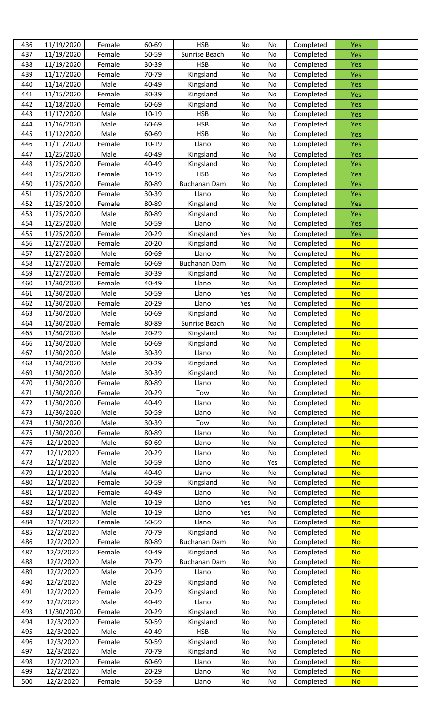| 436 | 11/19/2020 | Female | 60-69     | <b>HSB</b>          | No        | No  | Completed | <b>Yes</b> |  |
|-----|------------|--------|-----------|---------------------|-----------|-----|-----------|------------|--|
| 437 | 11/19/2020 | Female | 50-59     | Sunrise Beach       | No        | No  | Completed | Yes        |  |
| 438 | 11/19/2020 | Female | 30-39     | <b>HSB</b>          | No        | No  | Completed | <b>Yes</b> |  |
| 439 | 11/17/2020 | Female | 70-79     | Kingsland           | No        | No  | Completed | <b>Yes</b> |  |
| 440 | 11/14/2020 | Male   | 40-49     | Kingsland           | No        | No  | Completed | <b>Yes</b> |  |
| 441 | 11/15/2020 | Female | 30-39     | Kingsland           | No        | No  | Completed | <b>Yes</b> |  |
| 442 | 11/18/2020 | Female | 60-69     | Kingsland           | No        | No  | Completed | <b>Yes</b> |  |
| 443 | 11/17/2020 | Male   | $10 - 19$ | <b>HSB</b>          | No        | No  | Completed | <b>Yes</b> |  |
| 444 | 11/16/2020 | Male   | 60-69     | <b>HSB</b>          | No        | No  | Completed | <b>Yes</b> |  |
| 445 | 11/12/2020 | Male   | 60-69     | <b>HSB</b>          | No        | No  | Completed | <b>Yes</b> |  |
| 446 | 11/11/2020 | Female | $10 - 19$ | Llano               | No        | No  | Completed | <b>Yes</b> |  |
| 447 | 11/25/2020 | Male   | 40-49     | Kingsland           | No        | No  | Completed | <b>Yes</b> |  |
| 448 | 11/25/2020 | Female | 40-49     | Kingsland           | No        | No  | Completed | <b>Yes</b> |  |
| 449 | 11/25/2020 | Female | 10-19     | <b>HSB</b>          | No        | No  | Completed | <b>Yes</b> |  |
| 450 | 11/25/2020 | Female | 80-89     | Buchanan Dam        | No        | No  | Completed | <b>Yes</b> |  |
| 451 | 11/25/2020 | Female | 30-39     | Llano               | No        | No  | Completed | <b>Yes</b> |  |
| 452 | 11/25/2020 | Female | 80-89     | Kingsland           | No        | No  | Completed | <b>Yes</b> |  |
| 453 | 11/25/2020 | Male   | 80-89     | Kingsland           | No        | No  | Completed | <b>Yes</b> |  |
| 454 | 11/25/2020 | Male   | 50-59     | Llano               | No        | No  | Completed | Yes        |  |
| 455 | 11/25/2020 | Female | 20-29     | Kingsland           | Yes       | No  | Completed | <b>Yes</b> |  |
| 456 | 11/27/2020 | Female | $20 - 20$ | Kingsland           | No        | No  | Completed | <b>No</b>  |  |
| 457 | 11/27/2020 | Male   | 60-69     | Llano               | No        | No  | Completed | <b>No</b>  |  |
| 458 | 11/27/2020 | Female | 60-69     | <b>Buchanan Dam</b> | No        | No  | Completed | <b>No</b>  |  |
| 459 | 11/27/2020 | Female | 30-39     | Kingsland           | No        | No  | Completed | <b>No</b>  |  |
| 460 | 11/30/2020 | Female | 40-49     | Llano               | No        | No  | Completed | <b>No</b>  |  |
| 461 | 11/30/2020 | Male   | 50-59     | Llano               | Yes       | No  | Completed | <b>No</b>  |  |
| 462 | 11/30/2020 | Female | 20-29     | Llano               | Yes       | No  | Completed | <b>No</b>  |  |
| 463 | 11/30/2020 | Male   | 60-69     | Kingsland           | No        | No  | Completed | <b>No</b>  |  |
| 464 | 11/30/2020 | Female | 80-89     | Sunrise Beach       | No        | No  | Completed | <b>No</b>  |  |
| 465 | 11/30/2020 | Male   | 20-29     | Kingsland           | No        | No  | Completed | <b>No</b>  |  |
| 466 | 11/30/2020 | Male   | 60-69     | Kingsland           | No        | No  | Completed | <b>No</b>  |  |
| 467 | 11/30/2020 | Male   | 30-39     | Llano               | No        | No  | Completed | <b>No</b>  |  |
| 468 | 11/30/2020 | Male   | $20 - 29$ | Kingsland           | No        | Νo  | Completed | <u>No</u>  |  |
| 469 | 11/30/2020 | Male   | 30-39     | Kingsland           | No        | No  | Completed | <b>No</b>  |  |
| 470 | 11/30/2020 | Female | 80-89     | Llano               | No        | No  | Completed | <b>No</b>  |  |
| 471 | 11/30/2020 | Female | 20-29     | Tow                 | No        | No  | Completed | <b>No</b>  |  |
| 472 | 11/30/2020 | Female | 40-49     | Llano               | No        | No  | Completed | <b>No</b>  |  |
| 473 | 11/30/2020 | Male   | 50-59     | Llano               | No        | No  | Completed | <b>No</b>  |  |
| 474 | 11/30/2020 | Male   | 30-39     | Tow                 | No        | No  | Completed | <b>No</b>  |  |
| 475 | 11/30/2020 | Female | 80-89     | Llano               | No        | No  | Completed | <b>No</b>  |  |
| 476 | 12/1/2020  | Male   | 60-69     | Llano               | No        | No  | Completed | <b>No</b>  |  |
| 477 | 12/1/2020  | Female | 20-29     | Llano               | <b>No</b> | No  | Completed | <b>No</b>  |  |
| 478 | 12/1/2020  | Male   | 50-59     | Llano               | No        | Yes | Completed | <b>No</b>  |  |
| 479 | 12/1/2020  | Male   | 40-49     | Llano               | No        | No  | Completed | <b>No</b>  |  |
| 480 | 12/1/2020  | Female | 50-59     | Kingsland           | No        | No  | Completed | <b>No</b>  |  |
| 481 | 12/1/2020  | Female | 40-49     | Llano               | No        | No  | Completed | <b>No</b>  |  |
| 482 | 12/1/2020  | Male   | $10 - 19$ | Llano               | Yes       | No  | Completed | <b>No</b>  |  |
| 483 | 12/1/2020  | Male   | $10 - 19$ | Llano               | Yes       | No  | Completed | <b>No</b>  |  |
| 484 | 12/1/2020  | Female | 50-59     | Llano               | No        | No  | Completed | <b>No</b>  |  |
| 485 | 12/2/2020  | Male   | 70-79     | Kingsland           | No        | No  | Completed | <b>No</b>  |  |
| 486 | 12/2/2020  | Female | 80-89     | <b>Buchanan Dam</b> | No        | No  | Completed | <b>No</b>  |  |
| 487 | 12/2/2020  | Female | 40-49     | Kingsland           | No        | No  | Completed | <b>No</b>  |  |
| 488 | 12/2/2020  | Male   | 70-79     | <b>Buchanan Dam</b> | No        | No  | Completed | <b>No</b>  |  |
| 489 | 12/2/2020  | Male   | 20-29     | Llano               | No        | No  | Completed | <b>No</b>  |  |
| 490 | 12/2/2020  | Male   | 20-29     | Kingsland           | No        | No  | Completed | <b>No</b>  |  |
| 491 | 12/2/2020  | Female | 20-29     | Kingsland           | No        | No  | Completed | <b>No</b>  |  |
| 492 | 12/2/2020  | Male   | 40-49     | Llano               | No        | No  | Completed | <b>No</b>  |  |
| 493 | 11/30/2020 | Female | 20-29     | Kingsland           | No        | No  | Completed | <b>No</b>  |  |
| 494 | 12/3/2020  | Female | 50-59     | Kingsland           | No        | No  | Completed | <b>No</b>  |  |
| 495 | 12/3/2020  | Male   | 40-49     | <b>HSB</b>          | No        | No  | Completed | <b>No</b>  |  |
| 496 | 12/3/2020  | Female | 50-59     | Kingsland           | No        | No  | Completed | <b>No</b>  |  |
| 497 | 12/3/2020  | Male   | 70-79     | Kingsland           | No        | No  | Completed | <b>No</b>  |  |
| 498 | 12/2/2020  | Female | 60-69     | Llano               | No        | No  | Completed | <b>No</b>  |  |
| 499 | 12/2/2020  | Male   | 20-29     | Llano               | No        | No  | Completed | <b>No</b>  |  |
| 500 | 12/2/2020  | Female | 50-59     | Llano               | No        | No  | Completed | <b>No</b>  |  |